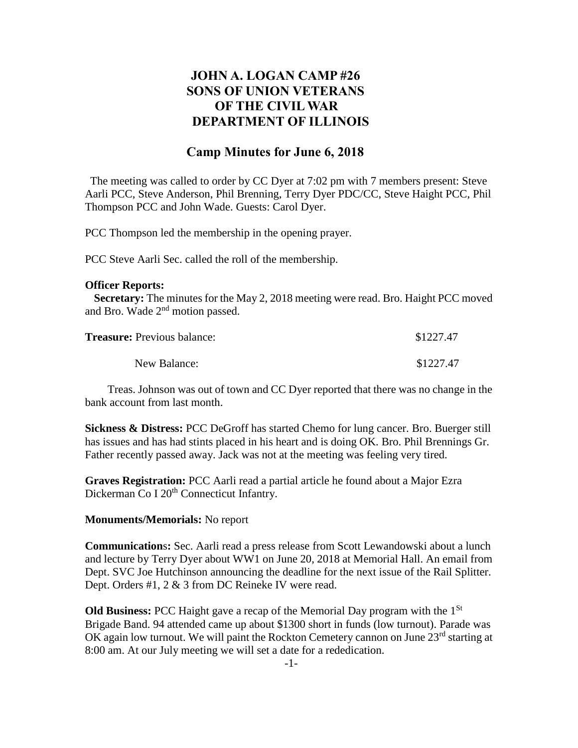# **JOHN A. LOGAN CAMP #26 SONS OF UNION VETERANS OF THE CIVIL WAR DEPARTMENT OF ILLINOIS**

## **Camp Minutes for June 6, 2018**

The meeting was called to order by CC Dyer at 7:02 pm with 7 members present: Steve Aarli PCC, Steve Anderson, Phil Brenning, Terry Dyer PDC/CC, Steve Haight PCC, Phil Thompson PCC and John Wade. Guests: Carol Dyer.

PCC Thompson led the membership in the opening prayer.

PCC Steve Aarli Sec. called the roll of the membership.

#### **Officer Reports:**

 **Secretary:** The minutes for the May 2, 2018 meeting were read. Bro. Haight PCC moved and Bro. Wade 2<sup>nd</sup> motion passed.

| <b>Treasure:</b> Previous balance: | \$1227.47 |
|------------------------------------|-----------|
| New Balance:                       | \$1227.47 |

 Treas. Johnson was out of town and CC Dyer reported that there was no change in the bank account from last month.

**Sickness & Distress:** PCC DeGroff has started Chemo for lung cancer. Bro. Buerger still has issues and has had stints placed in his heart and is doing OK. Bro. Phil Brennings Gr. Father recently passed away. Jack was not at the meeting was feeling very tired.

**Graves Registration:** PCC Aarli read a partial article he found about a Major Ezra Dickerman Co I 20<sup>th</sup> Connecticut Infantry.

### **Monuments/Memorials:** No report

**Communication**s**:** Sec. Aarli read a press release from Scott Lewandowski about a lunch and lecture by Terry Dyer about WW1 on June 20, 2018 at Memorial Hall. An email from Dept. SVC Joe Hutchinson announcing the deadline for the next issue of the Rail Splitter. Dept. Orders #1, 2 & 3 from DC Reineke IV were read.

**Old Business:** PCC Haight gave a recap of the Memorial Day program with the 1St Brigade Band. 94 attended came up about \$1300 short in funds (low turnout). Parade was OK again low turnout. We will paint the Rockton Cemetery cannon on June 23<sup>rd</sup> starting at 8:00 am. At our July meeting we will set a date for a rededication.